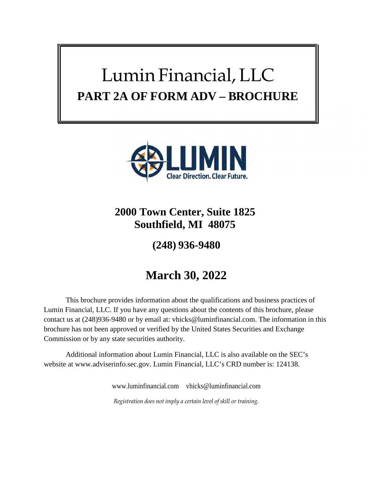# Lumin Financial, LLC **PART 2A OF FORM ADV – BROCHURE**



# **2000 Town Center, Suite 1825 Southfield, MI 48075**

**(248) 936-9480**

# **March 30, 2022**

This brochure provides information about the qualifications and business practices of Lumin Financial, LLC. If you have any questions about the contents of this brochure, please contact us at (248)936-9480 or by email at: vhicks@luminfinancial.com. The information in this brochure has not been approved or verified by the United States Securities and Exchange Commission or by any state securities authority.

Additional information about Lumin Financial, LLC is also available on the SEC's website at www.adviserinfo.sec.gov. Lumin Financial, LLC's CRD number is: 124138.

> www.luminfinancial.com vhicks@luminfinancial.com *Registration does not imply a certain level of skill or training.*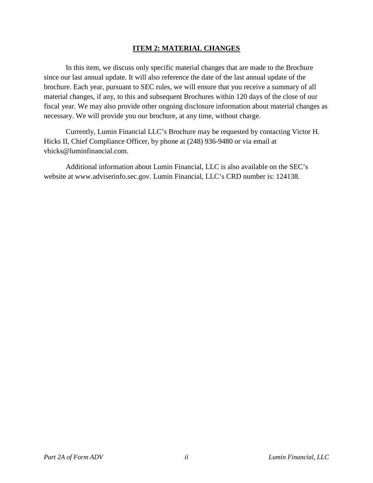#### **ITEM 2: MATERIAL CHANGES**

In this item, we discuss only specific material changes that are made to the Brochure since our last annual update. It will also reference the date of the last annual update of the brochure. Each year, pursuant to SEC rules, we will ensure that you receive a summary of all material changes, if any, to this and subsequent Brochures within 120 days of the close of our fiscal year. We may also provide other ongoing disclosure information about material changes as necessary. We will provide you our brochure, at any time, without charge.

Currently, Lumin Financial LLC's Brochure may be requested by contacting Victor H. Hicks II, Chief Compliance Officer, by phone at (248) 936-9480 or via email at vhicks@luminfinancial.com.

Additional information about Lumin Financial, LLC is also available on the SEC's website at www.adviserinfo.sec.gov. Lumin Financial, LLC's CRD number is: 124138.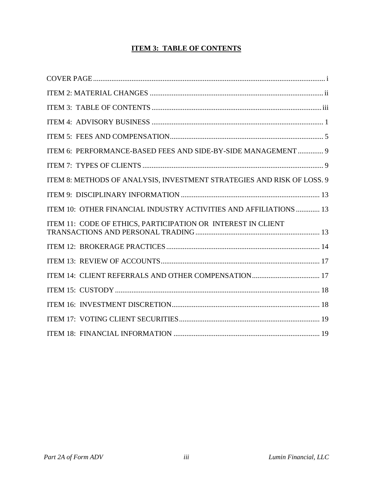# **ITEM 3: TABLE OF CONTENTS**

| ITEM 6: PERFORMANCE-BASED FEES AND SIDE-BY-SIDE MANAGEMENT  9          |
|------------------------------------------------------------------------|
|                                                                        |
| ITEM 8: METHODS OF ANALYSIS, INVESTMENT STRATEGIES AND RISK OF LOSS. 9 |
|                                                                        |
| ITEM 10: OTHER FINANCIAL INDUSTRY ACTIVITIES AND AFFILIATIONS  13      |
| ITEM 11: CODE OF ETHICS, PARTICIPATION OR INTEREST IN CLIENT           |
|                                                                        |
|                                                                        |
|                                                                        |
|                                                                        |
|                                                                        |
|                                                                        |
|                                                                        |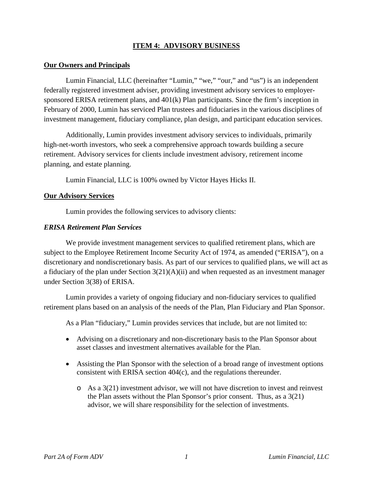#### **ITEM 4: ADVISORY BUSINESS**

#### **Our Owners and Principals**

Lumin Financial, LLC (hereinafter "Lumin," "we," "our," and "us") is an independent federally registered investment adviser, providing investment advisory services to employersponsored ERISA retirement plans, and 401(k) Plan participants. Since the firm's inception in February of 2000, Lumin has serviced Plan trustees and fiduciaries in the various disciplines of investment management, fiduciary compliance, plan design, and participant education services.

Additionally, Lumin provides investment advisory services to individuals, primarily high-net-worth investors, who seek a comprehensive approach towards building a secure retirement. Advisory services for clients include investment advisory, retirement income planning, and estate planning.

Lumin Financial, LLC is 100% owned by Victor Hayes Hicks II.

#### **Our Advisory Services**

Lumin provides the following services to advisory clients:

#### *ERISA Retirement Plan Services*

We provide investment management services to qualified retirement plans, which are subject to the Employee Retirement Income Security Act of 1974, as amended ("ERISA"), on a discretionary and nondiscretionary basis. As part of our services to qualified plans, we will act as a fiduciary of the plan under Section  $3(21)(A)(ii)$  and when requested as an investment manager under Section 3(38) of ERISA.

Lumin provides a variety of ongoing fiduciary and non-fiduciary services to qualified retirement plans based on an analysis of the needs of the Plan, Plan Fiduciary and Plan Sponsor.

As a Plan "fiduciary," Lumin provides services that include, but are not limited to:

- Advising on a discretionary and non-discretionary basis to the Plan Sponsor about asset classes and investment alternatives available for the Plan.
- Assisting the Plan Sponsor with the selection of a broad range of investment options consistent with ERISA section 404(c), and the regulations thereunder.
	- $\circ$  As a 3(21) investment advisor, we will not have discretion to invest and reinvest the Plan assets without the Plan Sponsor's prior consent. Thus, as a 3(21) advisor, we will share responsibility for the selection of investments.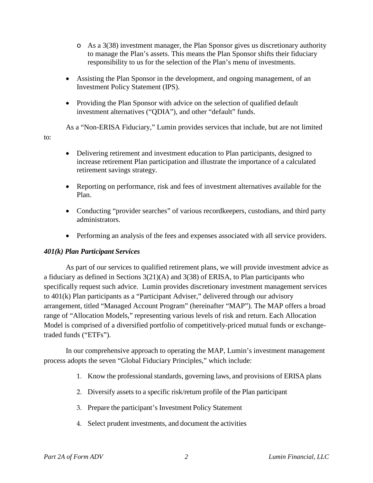- o As a 3(38) investment manager, the Plan Sponsor gives us discretionary authority to manage the Plan's assets. This means the Plan Sponsor shifts their fiduciary responsibility to us for the selection of the Plan's menu of investments.
- Assisting the Plan Sponsor in the development, and ongoing management, of an Investment Policy Statement (IPS).
- Providing the Plan Sponsor with advice on the selection of qualified default investment alternatives ("QDIA"), and other "default" funds.

As a "Non-ERISA Fiduciary," Lumin provides services that include, but are not limited

- Delivering retirement and investment education to Plan participants, designed to increase retirement Plan participation and illustrate the importance of a calculated retirement savings strategy.
- Reporting on performance, risk and fees of investment alternatives available for the Plan.
- Conducting "provider searches" of various recordkeepers, custodians, and third party administrators.
- Performing an analysis of the fees and expenses associated with all service providers.

#### *401(k) Plan Participant Services*

to:

As part of our services to qualified retirement plans, we will provide investment advice as a fiduciary as defined in Sections 3(21)(A) and 3(38) of ERISA, to Plan participants who specifically request such advice. Lumin provides discretionary investment management services to 401(k) Plan participants as a "Participant Adviser," delivered through our advisory arrangement, titled "Managed Account Program" (hereinafter "MAP"). The MAP offers a broad range of "Allocation Models," representing various levels of risk and return. Each Allocation Model is comprised of a diversified portfolio of competitively-priced mutual funds or exchangetraded funds ("ETFs").

In our comprehensive approach to operating the MAP, Lumin's investment management process adopts the seven "Global Fiduciary Principles," which include:

- 1. Know the professional standards, governing laws, and provisions of ERISA plans
- 2. Diversify assets to a specific risk/return profile of the Plan participant
- 3. Prepare the participant's Investment Policy Statement
- 4. Select prudent investments, and document the activities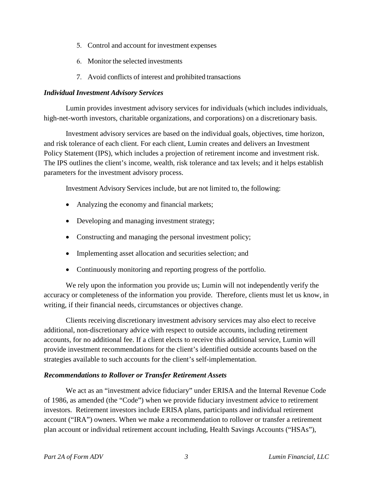- 5. Control and account for investment expenses
- 6. Monitor the selected investments
- 7. Avoid conflicts of interest and prohibited transactions

#### *Individual Investment Advisory Services*

Lumin provides investment advisory services for individuals (which includes individuals, high-net-worth investors, charitable organizations, and corporations) on a discretionary basis.

Investment advisory services are based on the individual goals, objectives, time horizon, and risk tolerance of each client. For each client, Lumin creates and delivers an Investment Policy Statement (IPS), which includes a projection of retirement income and investment risk. The IPS outlines the client's income, wealth, risk tolerance and tax levels; and it helps establish parameters for the investment advisory process.

Investment Advisory Services include, but are not limited to, the following:

- Analyzing the economy and financial markets;
- Developing and managing investment strategy;
- Constructing and managing the personal investment policy;
- Implementing asset allocation and securities selection; and
- Continuously monitoring and reporting progress of the portfolio.

We rely upon the information you provide us; Lumin will not independently verify the accuracy or completeness of the information you provide. Therefore, clients must let us know, in writing, if their financial needs, circumstances or objectives change.

Clients receiving discretionary investment advisory services may also elect to receive additional, non-discretionary advice with respect to outside accounts, including retirement accounts, for no additional fee. If a client elects to receive this additional service, Lumin will provide investment recommendations for the client's identified outside accounts based on the strategies available to such accounts for the client's self-implementation.

#### *Recommendations to Rollover or Transfer Retirement Assets*

We act as an "investment advice fiduciary" under ERISA and the Internal Revenue Code of 1986, as amended (the "Code") when we provide fiduciary investment advice to retirement investors. Retirement investors include ERISA plans, participants and individual retirement account ("IRA") owners. When we make a recommendation to rollover or transfer a retirement plan account or individual retirement account including, Health Savings Accounts ("HSAs"),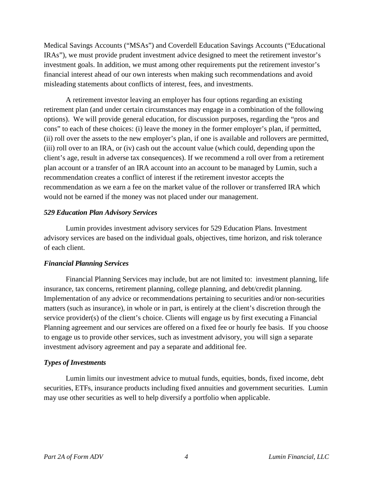Medical Savings Accounts ("MSAs") and Coverdell Education Savings Accounts ("Educational IRAs"), we must provide prudent investment advice designed to meet the retirement investor's investment goals. In addition, we must among other requirements put the retirement investor's financial interest ahead of our own interests when making such recommendations and avoid misleading statements about conflicts of interest, fees, and investments.

A retirement investor leaving an employer has four options regarding an existing retirement plan (and under certain circumstances may engage in a combination of the following options). We will provide general education, for discussion purposes, regarding the "pros and cons" to each of these choices: (i) leave the money in the former employer's plan, if permitted, (ii) roll over the assets to the new employer's plan, if one is available and rollovers are permitted, (iii) roll over to an IRA, or (iv) cash out the account value (which could, depending upon the client's age, result in adverse tax consequences). If we recommend a roll over from a retirement plan account or a transfer of an IRA account into an account to be managed by Lumin, such a recommendation creates a conflict of interest if the retirement investor accepts the recommendation as we earn a fee on the market value of the rollover or transferred IRA which would not be earned if the money was not placed under our management.

#### *529 Education Plan Advisory Services*

Lumin provides investment advisory services for 529 Education Plans. Investment advisory services are based on the individual goals, objectives, time horizon, and risk tolerance of each client.

#### *Financial Planning Services*

Financial Planning Services may include, but are not limited to: investment planning, life insurance, tax concerns, retirement planning, college planning, and debt/credit planning. Implementation of any advice or recommendations pertaining to securities and/or non-securities matters (such as insurance), in whole or in part, is entirely at the client's discretion through the service provider(s) of the client's choice. Clients will engage us by first executing a Financial Planning agreement and our services are offered on a fixed fee or hourly fee basis. If you choose to engage us to provide other services, such as investment advisory, you will sign a separate investment advisory agreement and pay a separate and additional fee.

#### *Types of Investments*

Lumin limits our investment advice to mutual funds, equities, bonds, fixed income, debt securities, ETFs, insurance products including fixed annuities and government securities. Lumin may use other securities as well to help diversify a portfolio when applicable.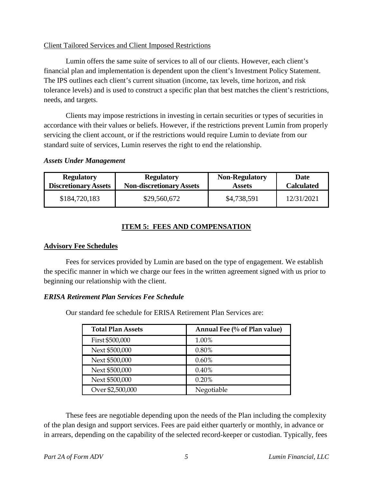#### Client Tailored Services and Client Imposed Restrictions

Lumin offers the same suite of services to all of our clients. However, each client's financial plan and implementation is dependent upon the client's Investment Policy Statement. The IPS outlines each client's current situation (income, tax levels, time horizon, and risk tolerance levels) and is used to construct a specific plan that best matches the client's restrictions, needs, and targets.

Clients may impose restrictions in investing in certain securities or types of securities in accordance with their values or beliefs. However, if the restrictions prevent Lumin from properly servicing the client account, or if the restrictions would require Lumin to deviate from our standard suite of services, Lumin reserves the right to end the relationship.

#### *Assets Under Management*

| <b>Regulatory</b>           | <b>Regulatory</b>               | <b>Non-Regulatory</b> | Date              |
|-----------------------------|---------------------------------|-----------------------|-------------------|
| <b>Discretionary Assets</b> | <b>Non-discretionary Assets</b> | <b>Assets</b>         | <b>Calculated</b> |
| \$184,720,183               | \$29,560,672                    | \$4,738,591           | 12/31/2021        |

# **ITEM 5: FEES AND COMPENSATION**

#### **Advisory Fee Schedules**

Fees for services provided by Lumin are based on the type of engagement. We establish the specific manner in which we charge our fees in the written agreement signed with us prior to beginning our relationship with the client.

#### *ERISA Retirement Plan Services Fee Schedule*

Our standard fee schedule for ERISA Retirement Plan Services are:

| <b>Total Plan Assets</b> | Annual Fee (% of Plan value) |
|--------------------------|------------------------------|
| First \$500,000          | 1.00%                        |
| Next \$500,000           | 0.80%                        |
| Next \$500,000           | $0.60\%$                     |
| Next \$500,000           | 0.40%                        |
| Next \$500,000           | 0.20%                        |
| Over \$2,500,000         | Negotiable                   |

These fees are negotiable depending upon the needs of the Plan including the complexity of the plan design and support services. Fees are paid either quarterly or monthly, in advance or in arrears, depending on the capability of the selected record-keeper or custodian. Typically, fees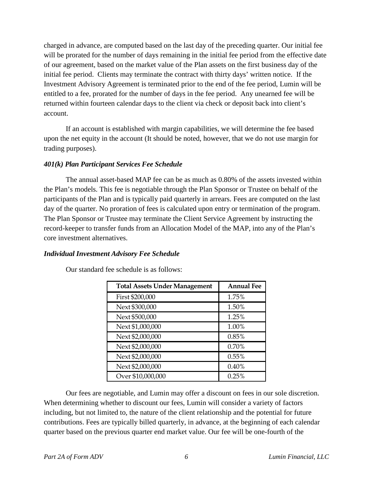charged in advance, are computed based on the last day of the preceding quarter. Our initial fee will be prorated for the number of days remaining in the initial fee period from the effective date of our agreement, based on the market value of the Plan assets on the first business day of the initial fee period. Clients may terminate the contract with thirty days' written notice. If the Investment Advisory Agreement is terminated prior to the end of the fee period, Lumin will be entitled to a fee, prorated for the number of days in the fee period. Any unearned fee will be returned within fourteen calendar days to the client via check or deposit back into client's account.

If an account is established with margin capabilities, we will determine the fee based upon the net equity in the account (It should be noted, however, that we do not use margin for trading purposes).

#### *401(k) Plan Participant Services Fee Schedule*

The annual asset-based MAP fee can be as much as 0.80% of the assets invested within the Plan's models. This fee is negotiable through the Plan Sponsor or Trustee on behalf of the participants of the Plan and is typically paid quarterly in arrears. Fees are computed on the last day of the quarter. No proration of fees is calculated upon entry or termination of the program. The Plan Sponsor or Trustee may terminate the Client Service Agreement by instructing the record-keeper to transfer funds from an Allocation Model of the MAP, into any of the Plan's core investment alternatives.

#### *Individual Investment Advisory Fee Schedule*

| <b>Total Assets Under Management</b> | <b>Annual Fee</b> |
|--------------------------------------|-------------------|
| First \$200,000                      | 1.75%             |
| Next \$300,000                       | 1.50%             |
| Next \$500,000                       | 1.25%             |
| Next \$1,000,000                     | 1.00%             |
| Next \$2,000,000                     | 0.85%             |
| Next \$2,000,000                     | 0.70%             |
| Next \$2,000,000                     | 0.55%             |
| Next \$2,000,000                     | 0.40%             |
| Over \$10,000,000                    | 0.25%             |

Our standard fee schedule is as follows:

Our fees are negotiable, and Lumin may offer a discount on fees in our sole discretion. When determining whether to discount our fees, Lumin will consider a variety of factors including, but not limited to, the nature of the client relationship and the potential for future contributions. Fees are typically billed quarterly, in advance, at the beginning of each calendar quarter based on the previous quarter end market value. Our fee will be one-fourth of the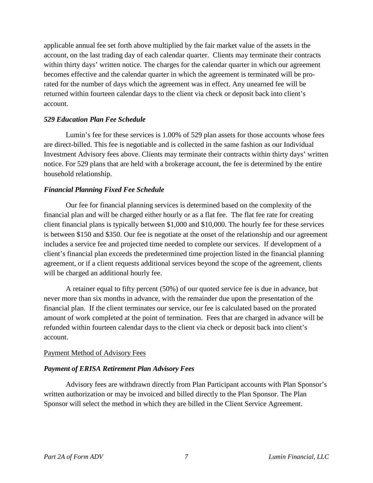applicable annual fee set forth above multiplied by the fair market value of the assets in the account, on the last trading day of each calendar quarter. Clients may terminate their contracts within thirty days' written notice. The charges for the calendar quarter in which our agreement becomes effective and the calendar quarter in which the agreement is terminated will be prorated for the number of days which the agreement was in effect. Any unearned fee will be returned within fourteen calendar days to the client via check or deposit back into client's account.

#### *529 Education Plan Fee Schedule*

Lumin's fee for these services is 1.00% of 529 plan assets for those accounts whose fees are direct-billed. This fee is negotiable and is collected in the same fashion as our Individual Investment Advisory fees above. Clients may terminate their contracts within thirty days' written notice. For 529 plans that are held with a brokerage account, the fee is determined by the entire household relationship.

#### *Financial Planning Fixed Fee Schedule*

Our fee for financial planning services is determined based on the complexity of the financial plan and will be charged either hourly or as a flat fee. The flat fee rate for creating client financial plans is typically between \$1,000 and \$10,000. The hourly fee for these services is between \$150 and \$350. Our fee is negotiate at the onset of the relationship and our agreement includes a service fee and projected time needed to complete our services. If development of a client's financial plan exceeds the predetermined time projection listed in the financial planning agreement, or if a client requests additional services beyond the scope of the agreement, clients will be charged an additional hourly fee.

A retainer equal to fifty percent (50%) of our quoted service fee is due in advance, but never more than six months in advance, with the remainder due upon the presentation of the financial plan. If the client terminates our service, our fee is calculated based on the prorated amount of work completed at the point of termination. Fees that are charged in advance will be refunded within fourteen calendar days to the client via check or deposit back into client's account.

#### Payment Method of Advisory Fees

#### *Payment of ERISA Retirement Plan Advisory Fees*

Advisory fees are withdrawn directly from Plan Participant accounts with Plan Sponsor's written authorization or may be invoiced and billed directly to the Plan Sponsor. The Plan Sponsor will select the method in which they are billed in the Client Service Agreement.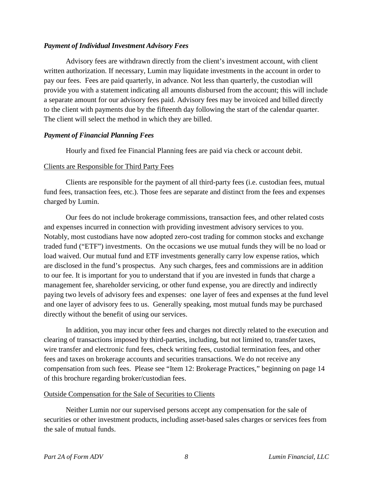#### *Payment of Individual Investment Advisory Fees*

Advisory fees are withdrawn directly from the client's investment account, with client written authorization. If necessary, Lumin may liquidate investments in the account in order to pay our fees. Fees are paid quarterly, in advance. Not less than quarterly, the custodian will provide you with a statement indicating all amounts disbursed from the account; this will include a separate amount for our advisory fees paid. Advisory fees may be invoiced and billed directly to the client with payments due by the fifteenth day following the start of the calendar quarter. The client will select the method in which they are billed.

#### *Payment of Financial Planning Fees*

Hourly and fixed fee Financial Planning fees are paid via check or account debit.

#### Clients are Responsible for Third Party Fees

Clients are responsible for the payment of all third-party fees (i.e. custodian fees, mutual fund fees, transaction fees, etc.). Those fees are separate and distinct from the fees and expenses charged by Lumin.

Our fees do not include brokerage commissions, transaction fees, and other related costs and expenses incurred in connection with providing investment advisory services to you. Notably, most custodians have now adopted zero-cost trading for common stocks and exchange traded fund ("ETF") investments. On the occasions we use mutual funds they will be no load or load waived. Our mutual fund and ETF investments generally carry low expense ratios, which are disclosed in the fund's prospectus. Any such charges, fees and commissions are in addition to our fee. It is important for you to understand that if you are invested in funds that charge a management fee, shareholder servicing, or other fund expense, you are directly and indirectly paying two levels of advisory fees and expenses: one layer of fees and expenses at the fund level and one layer of advisory fees to us. Generally speaking, most mutual funds may be purchased directly without the benefit of using our services.

In addition, you may incur other fees and charges not directly related to the execution and clearing of transactions imposed by third-parties, including, but not limited to, transfer taxes, wire transfer and electronic fund fees, check writing fees, custodial termination fees, and other fees and taxes on brokerage accounts and securities transactions. We do not receive any compensation from such fees. Please see "Item 12: Brokerage Practices," beginning on page 14 of this brochure regarding broker/custodian fees.

#### Outside Compensation for the Sale of Securities to Clients

Neither Lumin nor our supervised persons accept any compensation for the sale of securities or other investment products, including asset-based sales charges or services fees from the sale of mutual funds.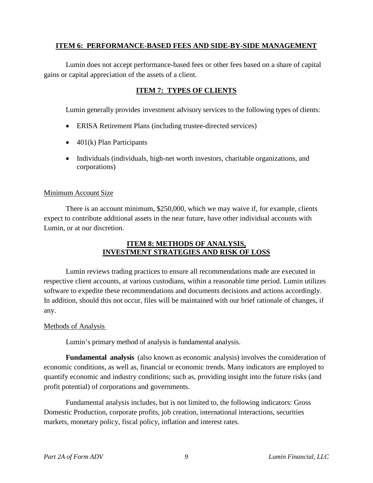#### **ITEM 6: PERFORMANCE-BASED FEES AND SIDE-BY-SIDE MANAGEMENT**

Lumin does not accept performance-based fees or other fees based on a share of capital gains or capital appreciation of the assets of a client.

#### **ITEM 7: TYPES OF CLIENTS**

Lumin generally provides investment advisory services to the following types of clients:

- ERISA Retirement Plans (including trustee-directed services)
- $\bullet$  401(k) Plan Participants
- Individuals (individuals, high-net worth investors, charitable organizations, and corporations)

#### Minimum Account Size

There is an account minimum, \$250,000, which we may waive if, for example, clients expect to contribute additional assets in the near future, have other individual accounts with Lumin, or at our discretion.

#### **ITEM 8: METHODS OF ANALYSIS, INVESTMENT STRATEGIES AND RISK OF LOSS**

Lumin reviews trading practices to ensure all recommendations made are executed in respective client accounts, at various custodians, within a reasonable time period. Lumin utilizes software to expedite these recommendations and documents decisions and actions accordingly. In addition, should this not occur, files will be maintained with our brief rationale of changes, if any.

#### Methods of Analysis

Lumin's primary method of analysis is fundamental analysis.

**Fundamental analysis** (also known as economic analysis) involves the consideration of economic conditions, as well as, financial or economic trends. Many indicators are employed to quantify economic and industry conditions; such as, providing insight into the future risks (and profit potential) of corporations and governments.

Fundamental analysis includes, but is not limited to, the following indicators: Gross Domestic Production, corporate profits, job creation, international interactions, securities markets, monetary policy, fiscal policy, inflation and interest rates.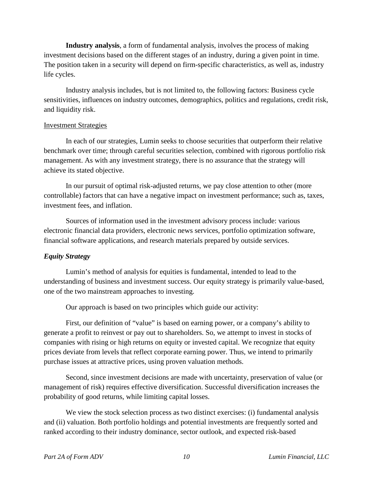**Industry analysis**, a form of fundamental analysis, involves the process of making investment decisions based on the different stages of an industry, during a given point in time. The position taken in a security will depend on firm-specific characteristics, as well as, industry life cycles.

Industry analysis includes, but is not limited to, the following factors: Business cycle sensitivities, influences on industry outcomes, demographics, politics and regulations, credit risk, and liquidity risk.

#### Investment Strategies

In each of our strategies, Lumin seeks to choose securities that outperform their relative benchmark over time; through careful securities selection, combined with rigorous portfolio risk management. As with any investment strategy, there is no assurance that the strategy will achieve its stated objective.

In our pursuit of optimal risk-adjusted returns, we pay close attention to other (more controllable) factors that can have a negative impact on investment performance; such as, taxes, investment fees, and inflation.

Sources of information used in the investment advisory process include: various electronic financial data providers, electronic news services, portfolio optimization software, financial software applications, and research materials prepared by outside services.

#### *Equity Strategy*

Lumin's method of analysis for equities is fundamental, intended to lead to the understanding of business and investment success. Our equity strategy is primarily value-based, one of the two mainstream approaches to investing.

Our approach is based on two principles which guide our activity:

First, our definition of "value" is based on earning power, or a company's ability to generate a profit to reinvest or pay out to shareholders. So, we attempt to invest in stocks of companies with rising or high returns on equity or invested capital. We recognize that equity prices deviate from levels that reflect corporate earning power. Thus, we intend to primarily purchase issues at attractive prices, using proven valuation methods.

Second, since investment decisions are made with uncertainty, preservation of value (or management of risk) requires effective diversification. Successful diversification increases the probability of good returns, while limiting capital losses.

We view the stock selection process as two distinct exercises: (i) fundamental analysis and (ii) valuation. Both portfolio holdings and potential investments are frequently sorted and ranked according to their industry dominance, sector outlook, and expected risk-based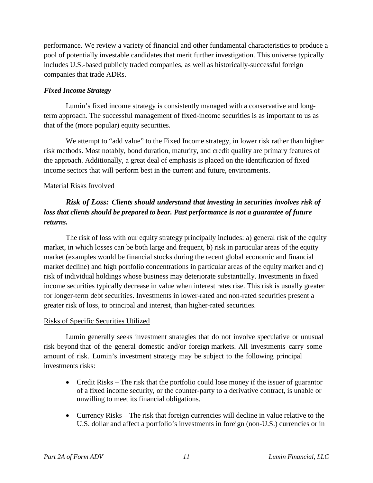performance. We review a variety of financial and other fundamental characteristics to produce a pool of potentially investable candidates that merit further investigation. This universe typically includes U.S.-based publicly traded companies, as well as historically-successful foreign companies that trade ADRs.

#### *Fixed Income Strategy*

Lumin's fixed income strategy is consistently managed with a conservative and longterm approach. The successful management of fixed-income securities is as important to us as that of the (more popular) equity securities.

We attempt to "add value" to the Fixed Income strategy, in lower risk rather than higher risk methods. Most notably, bond duration, maturity, and credit quality are primary features of the approach. Additionally, a great deal of emphasis is placed on the identification of fixed income sectors that will perform best in the current and future, environments.

#### Material Risks Involved

# *Risk of Loss: Clients should understand that investing in securities involves risk of loss that clients should be prepared to bear. Past performance is not a guarantee of future returns.*

The risk of loss with our equity strategy principally includes: a) general risk of the equity market, in which losses can be both large and frequent, b) risk in particular areas of the equity market (examples would be financial stocks during the recent global economic and financial market decline) and high portfolio concentrations in particular areas of the equity market and c) risk of individual holdings whose business may deteriorate substantially. Investments in fixed income securities typically decrease in value when interest rates rise. This risk is usually greater for longer-term debt securities. Investments in lower-rated and non-rated securities present a greater risk of loss, to principal and interest, than higher-rated securities.

#### Risks of Specific Securities Utilized

Lumin generally seeks investment strategies that do not involve speculative or unusual risk beyond that of the general domestic and/or foreign markets. All investments carry some amount of risk. Lumin's investment strategy may be subject to the following principal investments risks:

- Credit Risks The risk that the portfolio could lose money if the issuer of guarantor of a fixed income security, or the counter-party to a derivative contract, is unable or unwilling to meet its financial obligations.
- Currency Risks The risk that foreign currencies will decline in value relative to the U.S. dollar and affect a portfolio's investments in foreign (non-U.S.) currencies or in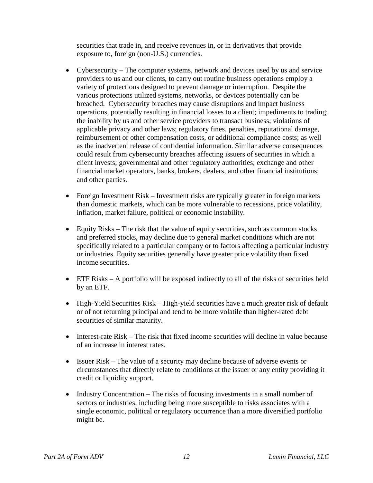securities that trade in, and receive revenues in, or in derivatives that provide exposure to, foreign (non-U.S.) currencies.

- Cybersecurity The computer systems, network and devices used by us and service providers to us and our clients, to carry out routine business operations employ a variety of protections designed to prevent damage or interruption. Despite the various protections utilized systems, networks, or devices potentially can be breached. Cybersecurity breaches may cause disruptions and impact business operations, potentially resulting in financial losses to a client; impediments to trading; the inability by us and other service providers to transact business; violations of applicable privacy and other laws; regulatory fines, penalties, reputational damage, reimbursement or other compensation costs, or additional compliance costs; as well as the inadvertent release of confidential information. Similar adverse consequences could result from cybersecurity breaches affecting issuers of securities in which a client invests; governmental and other regulatory authorities; exchange and other financial market operators, banks, brokers, dealers, and other financial institutions; and other parties.
- Foreign Investment Risk Investment risks are typically greater in foreign markets than domestic markets, which can be more vulnerable to recessions, price volatility, inflation, market failure, political or economic instability.
- Equity Risks The risk that the value of equity securities, such as common stocks and preferred stocks, may decline due to general market conditions which are not specifically related to a particular company or to factors affecting a particular industry or industries. Equity securities generally have greater price volatility than fixed income securities.
- $\bullet$  ETF Risks A portfolio will be exposed indirectly to all of the risks of securities held by an ETF.
- High-Yield Securities Risk High-yield securities have a much greater risk of default or of not returning principal and tend to be more volatile than higher-rated debt securities of similar maturity.
- Interest-rate Risk The risk that fixed income securities will decline in value because of an increase in interest rates.
- Issuer Risk The value of a security may decline because of adverse events or circumstances that directly relate to conditions at the issuer or any entity providing it credit or liquidity support.
- Industry Concentration The risks of focusing investments in a small number of sectors or industries, including being more susceptible to risks associates with a single economic, political or regulatory occurrence than a more diversified portfolio might be.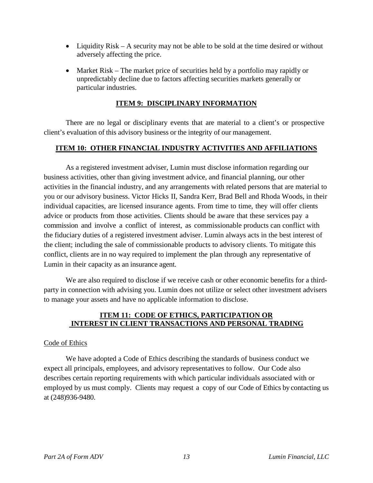- Liquidity Risk A security may not be able to be sold at the time desired or without adversely affecting the price.
- Market Risk The market price of securities held by a portfolio may rapidly or unpredictably decline due to factors affecting securities markets generally or particular industries.

#### **ITEM 9: DISCIPLINARY INFORMATION**

There are no legal or disciplinary events that are material to a client's or prospective client's evaluation of this advisory business or the integrity of our management.

#### **ITEM 10: OTHER FINANCIAL INDUSTRY ACTIVITIES AND AFFILIATIONS**

As a registered investment adviser, Lumin must disclose information regarding our business activities, other than giving investment advice, and financial planning, our other activities in the financial industry, and any arrangements with related persons that are material to you or our advisory business. Victor Hicks II, Sandra Kerr, Brad Bell and Rhoda Woods, in their individual capacities, are licensed insurance agents. From time to time, they will offer clients advice or products from those activities. Clients should be aware that these services pay a commission and involve a conflict of interest, as commissionable products can conflict with the fiduciary duties of a registered investment adviser. Lumin always acts in the best interest of the client; including the sale of commissionable products to advisory clients. To mitigate this conflict, clients are in no way required to implement the plan through any representative of Lumin in their capacity as an insurance agent.

We are also required to disclose if we receive cash or other economic benefits for a thirdparty in connection with advising you. Lumin does not utilize or select other investment advisers to manage your assets and have no applicable information to disclose.

#### **ITEM 11: CODE OF ETHICS, PARTICIPATION OR INTEREST IN CLIENT TRANSACTIONS AND PERSONAL TRADING**

#### Code of Ethics

We have adopted a Code of Ethics describing the standards of business conduct we expect all principals, employees, and advisory representatives to follow. Our Code also describes certain reporting requirements with which particular individuals associated with or employed by us must comply. Clients may request a copy of our Code of Ethics by contacting us at (248)936-9480.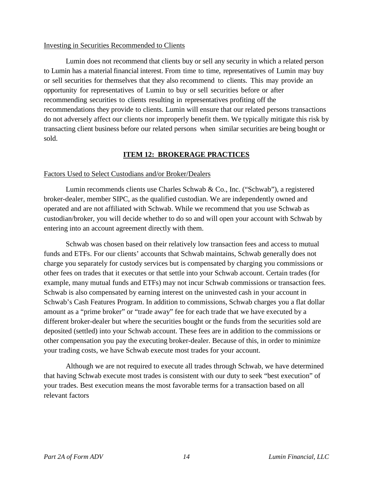#### Investing in Securities Recommended to Clients

Lumin does not recommend that clients buy or sell any security in which a related person to Lumin has a material financial interest. From time to time, representatives of Lumin may buy or sell securities for themselves that they also recommend to clients. This may provide an opportunity for representatives of Lumin to buy or sell securities before or after recommending securities to clients resulting in representatives profiting off the recommendations they provide to clients. Lumin will ensure that our related persons transactions do not adversely affect our clients nor improperly benefit them. We typically mitigate this risk by transacting client business before our related persons when similar securities are being bought or sold.

#### **ITEM 12: BROKERAGE PRACTICES**

#### Factors Used to Select Custodians and/or Broker/Dealers

Lumin recommends clients use Charles Schwab & Co., Inc. ("Schwab"), a registered broker-dealer, member SIPC, as the qualified custodian. We are independently owned and operated and are not affiliated with Schwab. While we recommend that you use Schwab as custodian/broker, you will decide whether to do so and will open your account with Schwab by entering into an account agreement directly with them.

Schwab was chosen based on their relatively low transaction fees and access to mutual funds and ETFs. For our clients' accounts that Schwab maintains, Schwab generally does not charge you separately for custody services but is compensated by charging you commissions or other fees on trades that it executes or that settle into your Schwab account. Certain trades (for example, many mutual funds and ETFs) may not incur Schwab commissions or transaction fees. Schwab is also compensated by earning interest on the uninvested cash in your account in Schwab's Cash Features Program. In addition to commissions, Schwab charges you a flat dollar amount as a "prime broker" or "trade away" fee for each trade that we have executed by a different broker-dealer but where the securities bought or the funds from the securities sold are deposited (settled) into your Schwab account. These fees are in addition to the commissions or other compensation you pay the executing broker-dealer. Because of this, in order to minimize your trading costs, we have Schwab execute most trades for your account.

Although we are not required to execute all trades through Schwab, we have determined that having Schwab execute most trades is consistent with our duty to seek "best execution" of your trades. Best execution means the most favorable terms for a transaction based on all relevant factors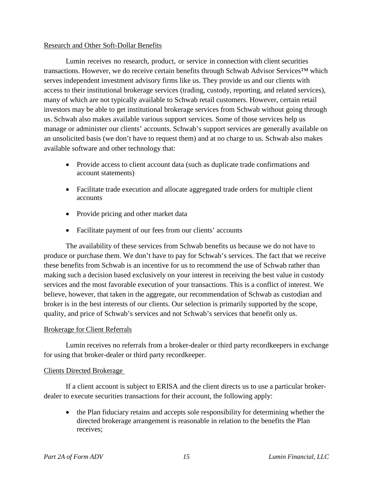#### Research and Other Soft-Dollar Benefits

Lumin receives no research, product, or service in connection with client securities transactions. However, we do receive certain benefits through Schwab Advisor Services™ which serves independent investment advisory firms like us. They provide us and our clients with access to their institutional brokerage services (trading, custody, reporting, and related services), many of which are not typically available to Schwab retail customers. However, certain retail investors may be able to get institutional brokerage services from Schwab without going through us. Schwab also makes available various support services. Some of those services help us manage or administer our clients' accounts. Schwab's support services are generally available on an unsolicited basis (we don't have to request them) and at no charge to us. Schwab also makes available software and other technology that:

- Provide access to client account data (such as duplicate trade confirmations and account statements)
- Facilitate trade execution and allocate aggregated trade orders for multiple client accounts
- Provide pricing and other market data
- Facilitate payment of our fees from our clients' accounts

The availability of these services from Schwab benefits us because we do not have to produce or purchase them. We don't have to pay for Schwab's services. The fact that we receive these benefits from Schwab is an incentive for us to recommend the use of Schwab rather than making such a decision based exclusively on your interest in receiving the best value in custody services and the most favorable execution of your transactions. This is a conflict of interest. We believe, however, that taken in the aggregate, our recommendation of Schwab as custodian and broker is in the best interests of our clients. Our selection is primarily supported by the scope, quality, and price of Schwab's services and not Schwab's services that benefit only us.

#### Brokerage for Client Referrals

Lumin receives no referrals from a broker-dealer or third party recordkeepers in exchange for using that broker-dealer or third party recordkeeper.

#### Clients Directed Brokerage

If a client account is subject to ERISA and the client directs us to use a particular brokerdealer to execute securities transactions for their account, the following apply:

• the Plan fiduciary retains and accepts sole responsibility for determining whether the directed brokerage arrangement is reasonable in relation to the benefits the Plan receives;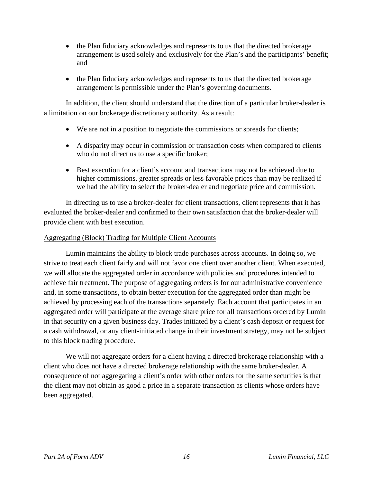- the Plan fiduciary acknowledges and represents to us that the directed brokerage arrangement is used solely and exclusively for the Plan's and the participants' benefit; and
- the Plan fiduciary acknowledges and represents to us that the directed brokerage arrangement is permissible under the Plan's governing documents.

In addition, the client should understand that the direction of a particular broker-dealer is a limitation on our brokerage discretionary authority. As a result:

- We are not in a position to negotiate the commissions or spreads for clients;
- A disparity may occur in commission or transaction costs when compared to clients who do not direct us to use a specific broker;
- Best execution for a client's account and transactions may not be achieved due to higher commissions, greater spreads or less favorable prices than may be realized if we had the ability to select the broker-dealer and negotiate price and commission.

In directing us to use a broker-dealer for client transactions, client represents that it has evaluated the broker-dealer and confirmed to their own satisfaction that the broker-dealer will provide client with best execution.

#### Aggregating (Block) Trading for Multiple Client Accounts

Lumin maintains the ability to block trade purchases across accounts. In doing so, we strive to treat each client fairly and will not favor one client over another client. When executed, we will allocate the aggregated order in accordance with policies and procedures intended to achieve fair treatment. The purpose of aggregating orders is for our administrative convenience and, in some transactions, to obtain better execution for the aggregated order than might be achieved by processing each of the transactions separately. Each account that participates in an aggregated order will participate at the average share price for all transactions ordered by Lumin in that security on a given business day. Trades initiated by a client's cash deposit or request for a cash withdrawal, or any client-initiated change in their investment strategy, may not be subject to this block trading procedure.

We will not aggregate orders for a client having a directed brokerage relationship with a client who does not have a directed brokerage relationship with the same broker-dealer. A consequence of not aggregating a client's order with other orders for the same securities is that the client may not obtain as good a price in a separate transaction as clients whose orders have been aggregated.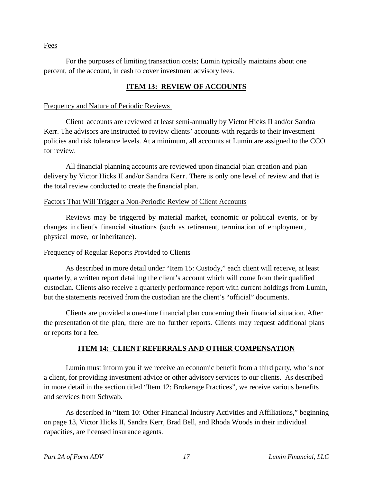#### Fees

For the purposes of limiting transaction costs; Lumin typically maintains about one percent, of the account, in cash to cover investment advisory fees.

### **ITEM 13: REVIEW OF ACCOUNTS**

#### Frequency and Nature of Periodic Reviews

Client accounts are reviewed at least semi-annually by Victor Hicks II and/or Sandra Kerr. The advisors are instructed to review clients' accounts with regards to their investment policies and risk tolerance levels. At a minimum, all accounts at Lumin are assigned to the CCO for review.

All financial planning accounts are reviewed upon financial plan creation and plan delivery by Victor Hicks II and/or Sandra Kerr. There is only one level of review and that is the total review conducted to create the financial plan.

#### Factors That Will Trigger a Non-Periodic Review of Client Accounts

Reviews may be triggered by material market, economic or political events, or by changes in client's financial situations (such as retirement, termination of employment, physical move, or inheritance).

#### Frequency of Regular Reports Provided to Clients

As described in more detail under "Item 15: Custody," each client will receive, at least quarterly, a written report detailing the client's account which will come from their qualified custodian. Clients also receive a quarterly performance report with current holdings from Lumin, but the statements received from the custodian are the client's "official" documents.

Clients are provided a one-time financial plan concerning their financial situation. After the presentation of the plan, there are no further reports. Clients may request additional plans or reports for a fee.

#### **ITEM 14: CLIENT REFERRALS AND OTHER COMPENSATION**

Lumin must inform you if we receive an economic benefit from a third party, who is not a client, for providing investment advice or other advisory services to our clients. As described in more detail in the section titled "Item 12: Brokerage Practices", we receive various benefits and services from Schwab.

As described in "Item 10: Other Financial Industry Activities and Affiliations," beginning on page 13, Victor Hicks II, Sandra Kerr, Brad Bell, and Rhoda Woods in their individual capacities, are licensed insurance agents.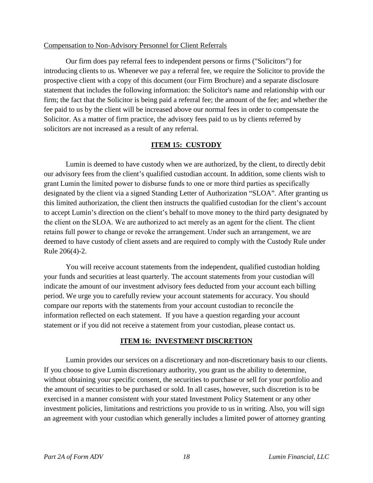#### Compensation to Non-Advisory Personnel for Client Referrals

Our firm does pay referral fees to independent persons or firms ("Solicitors") for introducing clients to us. Whenever we pay a referral fee, we require the Solicitor to provide the prospective client with a copy of this document (our Firm Brochure) and a separate disclosure statement that includes the following information: the Solicitor's name and relationship with our firm; the fact that the Solicitor is being paid a referral fee; the amount of the fee; and whether the fee paid to us by the client will be increased above our normal fees in order to compensate the Solicitor. As a matter of firm practice, the advisory fees paid to us by clients referred by solicitors are not increased as a result of any referral.

#### **ITEM 15: CUSTODY**

Lumin is deemed to have custody when we are authorized, by the client, to directly debit our advisory fees from the client's qualified custodian account. In addition, some clients wish to grant Lumin the limited power to disburse funds to one or more third parties as specifically designated by the client via a signed Standing Letter of Authorization "SLOA". After granting us this limited authorization, the client then instructs the qualified custodian for the client's account to accept Lumin's direction on the client's behalf to move money to the third party designated by the client on the SLOA. We are authorized to act merely as an agent for the client. The client retains full power to change or revoke the arrangement. Under such an arrangement, we are deemed to have custody of client assets and are required to comply with the Custody Rule under Rule 206(4)-2.

You will receive account statements from the independent, qualified custodian holding your funds and securities at least quarterly. The account statements from your custodian will indicate the amount of our investment advisory fees deducted from your account each billing period. We urge you to carefully review your account statements for accuracy. You should compare our reports with the statements from your account custodian to reconcile the information reflected on each statement. If you have a question regarding your account statement or if you did not receive a statement from your custodian, please contact us.

#### **ITEM 16: INVESTMENT DISCRETION**

Lumin provides our services on a discretionary and non-discretionary basis to our clients. If you choose to give Lumin discretionary authority, you grant us the ability to determine, without obtaining your specific consent, the securities to purchase or sell for your portfolio and the amount of securities to be purchased or sold. In all cases, however, such discretion is to be exercised in a manner consistent with your stated Investment Policy Statement or any other investment policies, limitations and restrictions you provide to us in writing. Also, you will sign an agreement with your custodian which generally includes a limited power of attorney granting